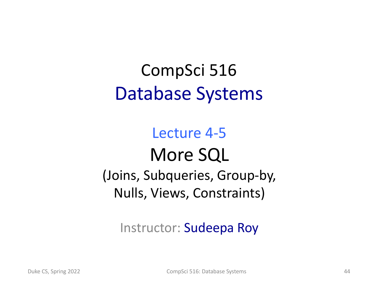#### CompSci 516 Database Systems

#### Lecture 4-5 More SQL (Joins, Subqueries, Group-by, Nulls, Views, Constraints)

#### Instructor: Sudeepa Roy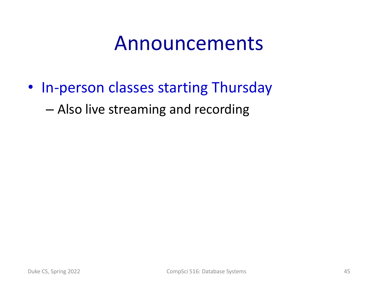#### Announcements

• In-person classes starting Thursday

– Also live streaming and recording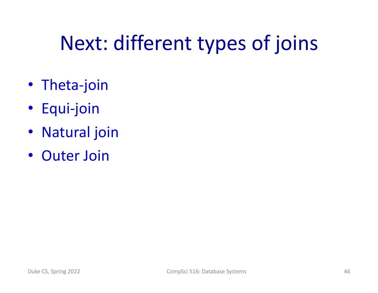# Next: different types of joins

- Theta-join
- Equi-join
- Natural join
- Outer Join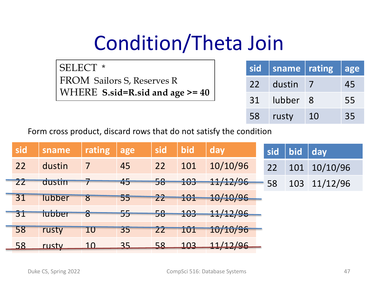# Condition/Theta Join

SELECT \* FROM Sailors S, Reserves R WHERE **S.sid=R.sid and age >= 40**

| <b>sid</b> | sname   rating |    | age |
|------------|----------------|----|-----|
| 22         | dustin         |    | 45  |
| 31         | lubber 8       |    | 55  |
| 58         | rusty          | 10 | 35  |

Form cross product, discard rows that do not satisfy the condition

| sid             | sname  | rating                  | age | sid             | bid               | day          | sid | bid | day      |
|-----------------|--------|-------------------------|-----|-----------------|-------------------|--------------|-----|-----|----------|
| 22              | dustin | 7                       | 45  | 22              | 101               | 10/10/96     | 22  | 101 | 10/10/96 |
| $\overline{22}$ | dustin |                         | 45  | 58              | 101<br><b>LUJ</b> | 11/12/96     | 58  | 103 | 11/12/96 |
| 31              | lubber | $\overline{\mathbf{8}}$ | 55  | 22              | 101               | 10/10/96     |     |     |          |
| 31              | tubber | $\delta$                | 55  | 58              | 103               | 11/12/96     |     |     |          |
| 58              | rusty  | 10                      | 35  | $Z\overline{Z}$ | 1Û1               | 10/10/96     |     |     |          |
| 58              | rusty  | <u> 10</u>              | 35  | 58              | 103               | 117/96<br>11 |     |     |          |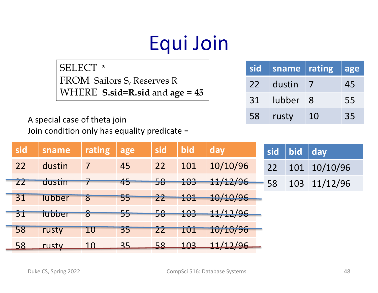# Equi Join

SELECT \* FROM Sailors S, Reserves R WHERE **S.sid=R.sid** and **age = 45**

| sid | sname   rating |     | age |
|-----|----------------|-----|-----|
| 22  | dustin         |     | 45  |
| 31  | lubber         | - 8 | 55  |
| 58  | rusty          | 10  | 35  |

A special case of theta join Join condition only has equality predicate =

| sid             | sname  | rating     | age | sid             | bid        | day      | sid | bid | day      |
|-----------------|--------|------------|-----|-----------------|------------|----------|-----|-----|----------|
| 22              | dustin | 7          | 45  | 22              | 101        | 10/10/96 | 22  | 101 | 10/10/96 |
| $Z\overline{Z}$ | dustin |            | 45  | 58              | 103        | 11/12/96 | 58  | 103 | 11/12/96 |
| 31              | lubber | 8          | 55  | 22              | 101        | 10/10/96 |     |     |          |
| 31              | tubber | $\delta$   | 55  | 58              | 103        | 11/12/96 |     |     |          |
| 58              | rusty  | 10         | 35  | $\overline{22}$ | <b>101</b> | 10/10/96 |     |     |          |
| 58              | rusty  | <u> 10</u> | 35  | 58              | 103        | 11/17/96 |     |     |          |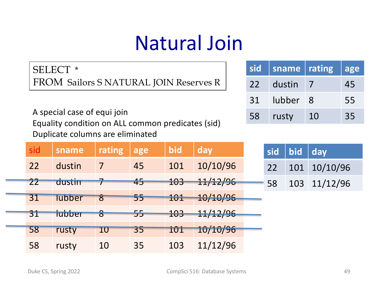# Natural Join

SELECT \* FROM Sailors S NATURAL JOIN Reserves R

A special case of equi join Equality condition on ALL common predicates (sid) Duplicate columns are eliminated

| sid | sname   rating |     | age |
|-----|----------------|-----|-----|
| 22  | dustin         |     | 45  |
| 31  | lubber         | - 8 | 55  |
| 58  | rusty          | 10  | 35  |

| sid             | sname         | rating                   | age | bid | day      | sid | bid | day      |
|-----------------|---------------|--------------------------|-----|-----|----------|-----|-----|----------|
| 22              | dustin        | 7                        | 45  | 101 | 10/10/96 | 22  | 101 | 10/10/96 |
| $\overline{22}$ | dustin        |                          | 45  | 103 | 11/12/96 | 58  | 103 | 11/12/96 |
| 31              | <b>lubber</b> | $\overline{\mathcal{S}}$ | 55  | 101 | 10/10/96 |     |     |          |
| 31              | tubber        | $\delta$                 | 55  | 103 | 11/12/96 |     |     |          |
| 58              | rusty         | 10                       | 35  | 101 | 10/10/96 |     |     |          |
| 58              | rusty         | 10                       | 35  | 103 | 11/12/96 |     |     |          |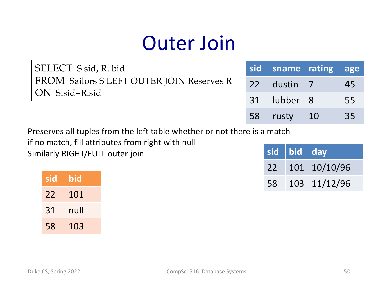# Outer Join

SELECT S.sid, R. bid FROM Sailors S LEFT OUTER JOIN Reserves R ON S.sid=R.sid

| sid | sname    | rating | lage |
|-----|----------|--------|------|
| 22  | dustin   |        | 45   |
| 31  | lubber 8 |        | 55   |
| 58  | rusty    | 10     | 35   |

Preserves all tuples from the left table whether or not there is a match

if no match, fill attributes from right with null

Similarly RIGHT/FULL outer join

| sid | bid  |
|-----|------|
| 22  | 101  |
| 31  | null |
| 58  | 103  |

|    | sid bid $ $ day |                 |
|----|-----------------|-----------------|
|    |                 | 22 101 10/10/96 |
| 58 |                 | 103 11/12/96    |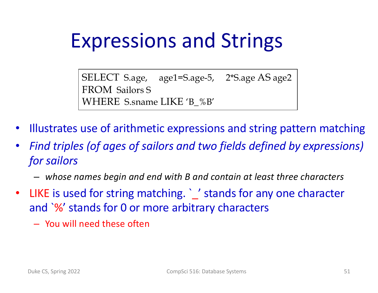# Expressions and Strings

SELECT S.age, age1=S.age-5, 2\*S.age AS age2 FROM Sailors S WHERE S.sname LIKE 'B\_%B'

- Illustrates use of arithmetic expressions and string pattern matching
- *Find triples (of ages of sailors and two fields defined by expressions) for sailors* 
	- *whose names begin and end with B and contain at least three characters*
- LIKE is used for string matching. ` ' stands for any one character and `%' stands for 0 or more arbitrary characters
	- You will need these often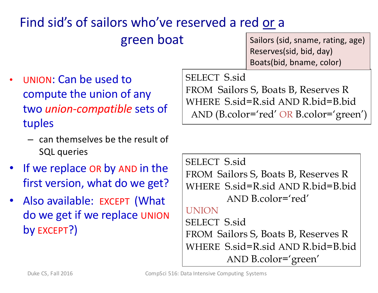#### Find sid's of sailors who've reserved a red or a

green boat

Sailors (sid, sname, rating, age) Reserves(sid, bid, day) Boats(bid, bname, color)

- UNION: Can be used to compute the union of any two *union-compatible* sets of tuples
	- can themselves be the result of SQL queries
- If we replace OR by AND in the first version, what do we get?
- Also available: EXCEPT (What do we get if we replace UNION by EXCEPT?)

SELECT S.sid FROM Sailors S, Boats B, Reserves R WHERE S.sid=R.sid AND R.bid=B.bid AND (B.color='red' OR B.color='green')

```
SELECT S.sid
FROM Sailors S, Boats B, Reserves R
WHERE S.sid=R.sid AND R.bid=B.bid
        AND B.color='red'
UNION
SELECT S.sid
FROM Sailors S, Boats B, Reserves R
WHERE S.sid=R.sid AND R.bid=B.bid
        AND B.color='green'
```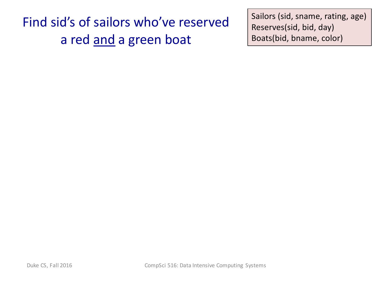Find sid's of sailors who've reserved a red and a green boat

Sailors (sid, sname, rating, age) Reserves(sid, bid, day) Boats(bid, bname, color)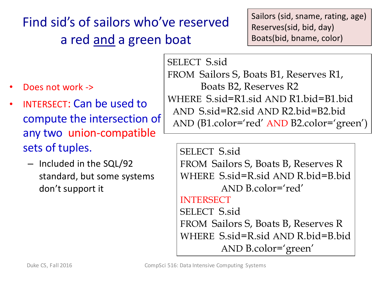#### Find sid's of sailors who've reserved a red and a green boat

- Does not work ->
- INTERSECT: Can be used to compute the intersection of any two union-compatible sets of tuples.
	- Included in the SQL/92 standard, but some systems don't support it

Sailors (sid, sname, rating, age) Reserves(sid, bid, day) Boats(bid, bname, color)

SELECT S.sid FROM Sailors S, Boats B1, Reserves R1, Boats B2, Reserves R2 WHERE S.sid=R1.sid AND R1.bid=B1.bid AND S.sid=R2.sid AND R2.bid=B2.bid AND (B1.color='red' AND B2.color='green')

SELECT S.sid FROM Sailors S, Boats B, Reserves R WHERE S.sid=R.sid AND R.bid=B.bid AND B.color='red' **INTERSECT** SELECT S.sid FROM Sailors S, Boats B, Reserves R WHERE S.sid=R.sid AND R.bid=B.bid AND B.color='green'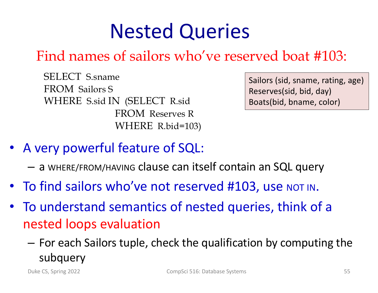# Nested Queries

#### Find names of sailors who've reserved boat #103:

SELECT S.sname FROM Sailors S WHERE S.sid IN (SELECT R.sid FROM Reserves R WHERE R.bid=103)

Sailors (sid, sname, rating, age) Reserves(sid, bid, day) Boats(bid, bname, color)

- A very powerful feature of SQL:
	- a WHERE/FROM/HAVING clause can itself contain an SQL query
- To find sailors who've not reserved #103, use NOT IN.
- To understand semantics of nested queries, think of a nested loops evaluation
	- For each Sailors tuple, check the qualification by computing the subquery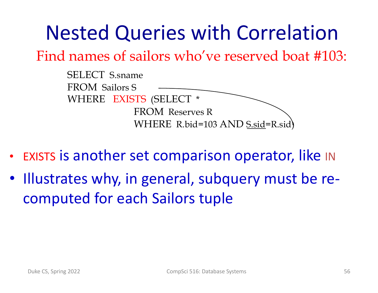# Nested Queries with Correlation

Find names of sailors who've reserved boat #103:

| <b>SELECT</b> S.sname            |
|----------------------------------|
| <b>FROM</b> Sailors S            |
| WHERE EXISTS (SELECT *           |
| <b>FROM Reserves R</b>           |
| WHERE R.bid=103 AND S.sid=R.sid) |

- **EXISTS is another set comparison operator, like IN**
- Illustrates why, in general, subquery must be recomputed for each Sailors tuple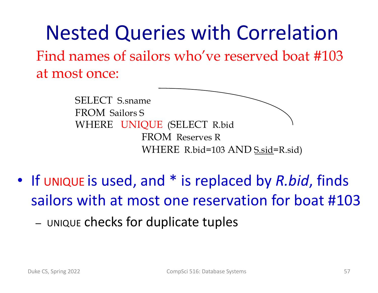Nested Queries with Correlation Find names of sailors who've reserved boat #103 at most once:

> SELECT S.sname FROM Sailors S WHERE UNIQUE (SELECT R.bid FROM Reserves R WHERE R.bid=103 AND S.sid=R.sid)

- If UNIQUE is used, and \* is replaced by *R.bid*, finds sailors with at most one reservation for boat #103
	- UNIQUE checks for duplicate tuples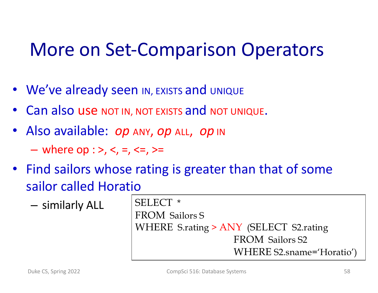#### More on Set-Comparison Operators

- We've already seen IN, EXISTS and UNIQUE
- Can also use NOT IN, NOT EXISTS and NOT UNIQUE.
- Also available: *op* ANY, *op* ALL, *op* IN

 $-$  where op : >, <, =, <=, >=

- Find sailors whose rating is greater than that of some sailor called Horatio
	- $-$  similarly ALL SELECT  $*$

FROM Sailors S WHERE S.rating > ANY (SELECT S2.rating FROM Sailors S2 WHERE S2.sname='Horatio')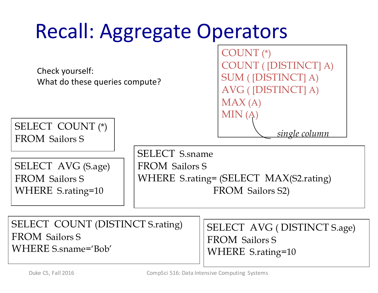| <b>Recall: Aggregate Operators</b>                               |                                                                                                              |                                                                                |  |  |  |
|------------------------------------------------------------------|--------------------------------------------------------------------------------------------------------------|--------------------------------------------------------------------------------|--|--|--|
| Check yourself:<br>What do these queries compute?                | $COUNT$ (*)<br>MAX(A)                                                                                        | <b>COUNT</b> ([DISTINCT] A)<br><b>SUM</b> ([DISTINCT] A)<br>AVG ([DISTINCT] A) |  |  |  |
| <b>SELECT COUNT</b> (*)<br><b>FROM</b> Sailors S                 | MIN(A)                                                                                                       | single column                                                                  |  |  |  |
| SELECT AVG (S.age)<br><b>FROM</b> Sailors S<br>WHERE S.rating=10 | <b>SELECT</b> S.sname<br><b>FROM</b> Sailors S<br>WHERE S.rating= (SELECT MAX(S2.rating)<br>FROM Sailors S2) |                                                                                |  |  |  |
| CEI ECT COUNT (DICTINICT $C$ rating)                             |                                                                                                              |                                                                                |  |  |  |

SELECT COUNT (DISTINCT S.rating) FROM Sailors S WHERE S.sname='Bob'

SELECT AVG ( DISTINCT S.age) FROM Sailors S WHERE S.rating=10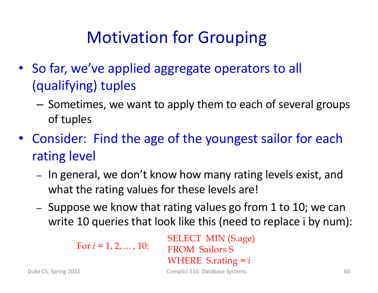#### Motivation for Grouping

- So far, we've applied aggregate operators to all (qualifying) tuples
	- Sometimes, we want to apply them to each of several groups of tuples
- Consider: Find the age of the youngest sailor for each rating level
	- In general, we don't know how many rating levels exist, and what the rating values for these levels are!
	- Suppose we know that rating values go from 1 to 10; we can write 10 queries that look like this (need to replace i by num):

For *i* = 1, 2, ... , 10:

SELECT MIN (S.age) FROM Sailors S WHERE S.rating = *i*

Duke CS, Spring 2022 CompSci 516: Database Systems 60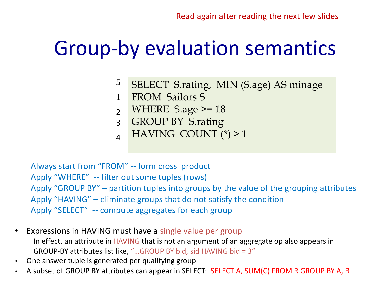#### Group-by evaluation semantics

- SELECT S.rating, MIN (S.age) AS minage 5
- FROM Sailors S 1
- WHERE S.age >= 18  $\overline{2}$
- GROUP BY S.rating 3
- HAVING COUNT (\*) > 1  $\overline{A}$

Always start from "FROM" -- form cross product Apply "WHERE" -- filter out some tuples (rows) Apply "GROUP BY" – partition tuples into groups by the value of the grouping attributes Apply "HAVING" – eliminate groups that do not satisfy the condition Apply "SELECT" -- compute aggregates for each group

- Expressions in HAVING must have a single value per group In effect, an attribute in HAVING that is not an argument of an aggregate op also appears in GROUP-BY attributes list like, "…GROUP BY bid, sid HAVING bid = 3"
- One answer tuple is generated per qualifying group
- A subset of GROUP BY attributes can appear in SELECT: SELECT A, SUM(C) FROM R GROUP BY A, B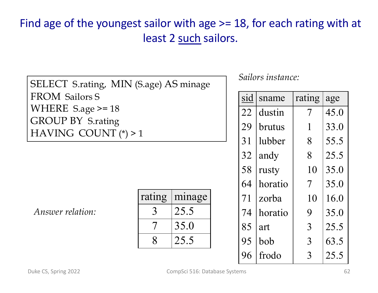#### Find age of the youngest sailor with age >= 18, for each rating with at least 2 such sailors.

| SELECT S.rating, MIN (S.age) AS minage<br><b>FROM Sailors S</b> |        |        |  |  |  |  |
|-----------------------------------------------------------------|--------|--------|--|--|--|--|
|                                                                 |        |        |  |  |  |  |
| WHERE $S \cdot age \ge 18$                                      |        |        |  |  |  |  |
| <b>GROUP BY S.rating</b>                                        |        |        |  |  |  |  |
| HAVING COUNT $(*) > 1$                                          |        |        |  |  |  |  |
|                                                                 |        |        |  |  |  |  |
|                                                                 |        |        |  |  |  |  |
|                                                                 |        |        |  |  |  |  |
|                                                                 |        |        |  |  |  |  |
|                                                                 | rating | minage |  |  |  |  |
| <i>Answer relation:</i>                                         | 3      | 25.5   |  |  |  |  |
|                                                                 |        | 35.0   |  |  |  |  |
|                                                                 |        | 25.5   |  |  |  |  |
|                                                                 |        |        |  |  |  |  |

*Sailors instance:*

| sid | sname         | rating | age  |
|-----|---------------|--------|------|
| 22  | dustin        | 7      | 45.0 |
| 29  | <b>brutus</b> | 1      | 33.0 |
| 31  | lubber        | 8      | 55.5 |
| 32  | andy          | 8      | 25.5 |
| 58  | rusty         | 10     | 35.0 |
| 64  | horatio       | 7      | 35.0 |
| 71  | zorba         | 10     | 16.0 |
| 74  | horatio       | 9      | 35.0 |
| 85  | art           | 3      | 25.5 |
| 95  | bob           | 3      | 63.5 |
| 96  | frodo         | 3      | 25.5 |
|     |               |        |      |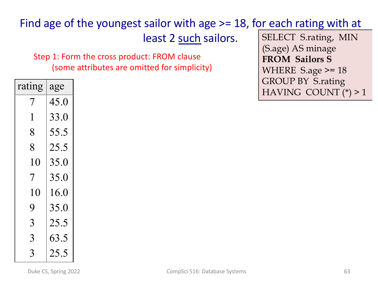#### Find age of the youngest sailor with age >= 18, for each rating with at

least 2 such sailors.

Step 1: Form the cross product: FROM clause (some attributes are omitted for simplicity)

SELECT S.rating, MIN (S.age) AS minage **FROM Sailors S** WHERE S.age >= 18 GROUP BY S.rating HAVING COUNT (\*) > 1

| rating | age  |
|--------|------|
| 7      | 45.0 |
| 1      | 33.0 |
| 8      | 55.5 |
| $8\,$  | 25.5 |
| 10     | 35.0 |
| 7      | 35.0 |
| 10     | 16.0 |
| 9      | 35.0 |
| 3      | 25.5 |
| 3      | 63.5 |
| 3      | 25.5 |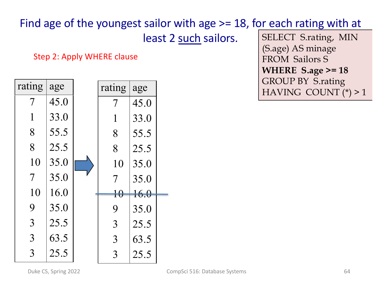#### Find age of the youngest sailor with age >= 18, for each rating with at

least 2 such sailors.

Step 2: Apply WHERE clause

| rating                   | age  | rating          | age  |  |
|--------------------------|------|-----------------|------|--|
| 7                        | 45.0 | 7               | 45.0 |  |
| $\mathbf{1}$             | 33.0 | $\mathbf{1}$    | 33.0 |  |
| 8                        | 55.5 | 8               | 55.5 |  |
| 8                        | 25.5 | 8               | 25.5 |  |
| 10                       | 35.0 | 10              | 35.0 |  |
| $\overline{\mathcal{I}}$ | 35.0 | 7               | 35.0 |  |
| 10                       | 16.0 | $\overline{10}$ | 16.0 |  |
| 9                        | 35.0 | 9               | 35.0 |  |
| $\overline{3}$           | 25.5 | 3               | 25.5 |  |
| $\overline{3}$           | 63.5 | $\overline{3}$  | 63.5 |  |
| 3                        | 25.5 | 3               | 25.5 |  |

SELECT S.rating, MIN (S.age) AS minage FROM Sailors S **WHERE S.age >= 18** GROUP BY S.rating HAVING COUNT (\*) > 1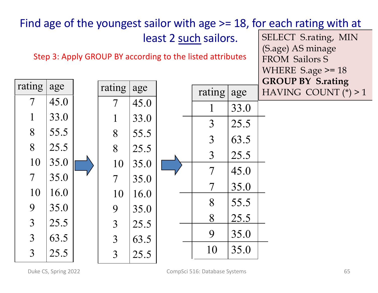| SELECT S.rating, MIN<br>least 2 such sailors.<br>(S.age) AS minage<br>Step 3: Apply GROUP BY according to the listed attributes<br><b>FROM Sailors S</b> | Find age of the youngest sailor with age $>= 18$ , for each rating with at |
|----------------------------------------------------------------------------------------------------------------------------------------------------------|----------------------------------------------------------------------------|
|                                                                                                                                                          |                                                                            |
|                                                                                                                                                          |                                                                            |
| WHERE $S \cdot age \ge 18$                                                                                                                               |                                                                            |
| <b>GROUP BY S.rating</b>                                                                                                                                 |                                                                            |
| rating<br>age<br>rating<br>age<br>rating<br>HAVING COUNT $(*) > 1$<br>age                                                                                |                                                                            |
| 45.0<br>$\overline{\mathcal{I}}$<br>45.0<br>$\overline{\mathcal{I}}$<br>33.0                                                                             |                                                                            |
| $\mathbf{1}$<br>33.0<br>$\mathbf{1}$<br>33.0<br>3<br>25.5                                                                                                |                                                                            |
| 8<br>55.5<br>8<br>55.5<br>3<br>63.5                                                                                                                      |                                                                            |
| 8<br>25.5<br>8<br>25.5                                                                                                                                   |                                                                            |
| $\overline{3}$<br>25.5<br>10<br>35.0<br>35.0<br>10                                                                                                       |                                                                            |
| $\overline{7}$<br>45.0<br>$\overline{7}$<br>35.0<br>$\overline{\mathcal{I}}$<br>35.0                                                                     |                                                                            |
| $\overline{7}$<br>35.0<br>10<br>16.0<br>10<br>16.0                                                                                                       |                                                                            |
| 8<br>55.5<br>9<br>35.0                                                                                                                                   |                                                                            |
| 9<br>35.0<br>8<br>25.5                                                                                                                                   |                                                                            |
| $\overline{3}$<br>25.5<br>$\overline{3}$<br>25.5<br>9<br>35.0                                                                                            |                                                                            |
| 3<br>63.5<br>$\overline{3}$<br>63.5                                                                                                                      |                                                                            |
| 10<br>35.0<br>3<br>25.5<br>3<br>25.5                                                                                                                     |                                                                            |

Duke CS, Spring 2022 **65** CompSci 516: Database Systems **65** CompSci 516: Database Systems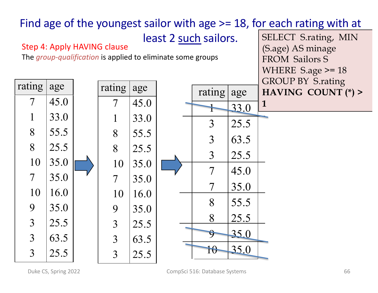

Duke CS, Spring 2022 **CompSci 516**: Database Systems **CompSci 516:** Database Systems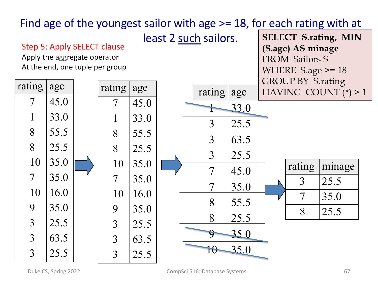

Duke CS, Spring 2022 **67** CompSci 516: Database Systems **67** 67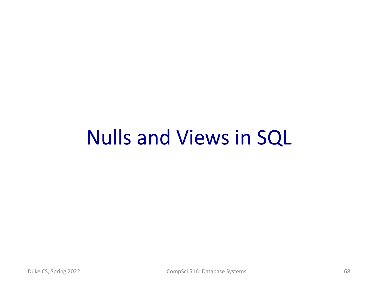#### Nulls and Views in SQL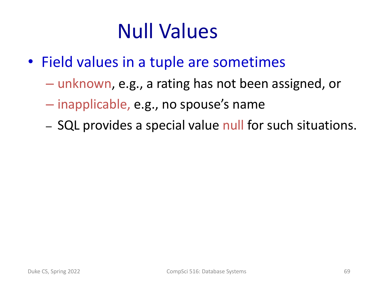# Null Values

- Field values in a tuple are sometimes
	- unknown, e.g., a rating has not been assigned, or
	- inapplicable, e.g., no spouse's name
	- SQL provides a special value null for such situations.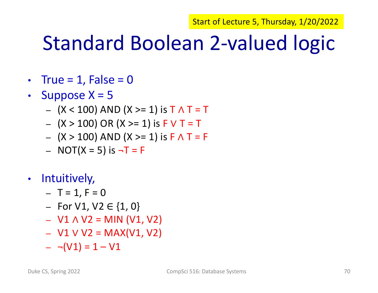Start of Lecture 5, Thursday, 1/20/2022

#### Standard Boolean 2-valued logic

- True =  $1$ , False =  $0$
- Suppose  $X = 5$ 
	- (X < 100) AND (X >= 1) is T ∧ T = T
	- (X > 100) OR (X >= 1) is F ∨ T = T
	- (X > 100) AND (X >= 1) is F ∧ T = F
	- $-$  NOT(X = 5) is  $\neg$ T = F
- Intuitively,
	- $T = 1, F = 0$
	- $-$  For V1, V2 ∈ {1, 0}
	- $-$  V1 ∧ V2 = MIN (V1, V2)
	- $-$  V1 V V2 = MAX(V1, V2)
	- $\neg$ (V1) = 1 V1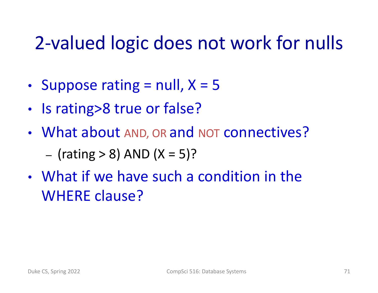#### 2-valued logic does not work for nulls

- Suppose rating  $=$  null,  $X = 5$
- Is rating>8 true or false?
- What about AND, OR and NOT connectives? – (rating  $> 8$ ) AND (X = 5)?
- What if we have such a condition in the WHERE clause?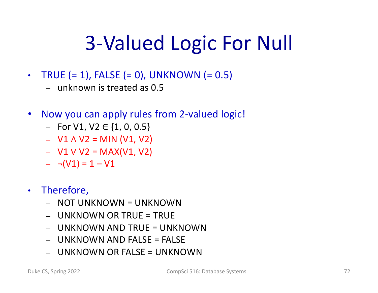# 3-Valued Logic For Null

- TRUE  $(= 1)$ , FALSE  $(= 0)$ , UNKNOWN  $(= 0.5)$ 
	- unknown is treated as 0.5
- Now you can apply rules from 2-valued logic!
	- For V1, V2 ∈ {1, 0, 0.5}
	- $-$  V1 ∧ V2 = MIN (V1, V2)
	- $-$  V1 V V2 = MAX(V1, V2)
	- $\neg$ (V1) = 1 V1
- Therefore,
	- NOT UNKNOWN = UNKNOWN
	- $-$  UNKNOWN OR TRUE = TRUE
	- UNKNOWN AND TRUE = UNKNOWN
	- $-$  UNKNOWN AND FALSE = FALSE
	- UNKNOWN OR FALSE = UNKNOWN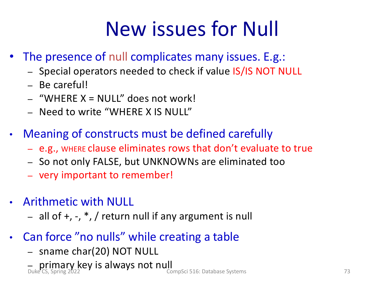# New issues for Null

- The presence of null complicates many issues. E.g.:
	- Special operators needed to check if value IS/IS NOT NULL
	- Be careful!
	- "WHERE X = NULL" does not work!
	- Need to write "WHERE X IS NULL"
- Meaning of constructs must be defined carefully
	- e.g., WHERE clause eliminates rows that don't evaluate to true
	- So not only FALSE, but UNKNOWNs are eliminated too
	- very important to remember!
- Arithmetic with NULL
	- all of  $+$ ,  $-$ ,  $*$ ,  $/$  return null if any argument is null
- Can force "no nulls" while creating a table
	- sname char(20) NOT NULL
	- **primary key is always not null**<br>Duke CS, Spring 2022 CompSci 516: Database Systems 73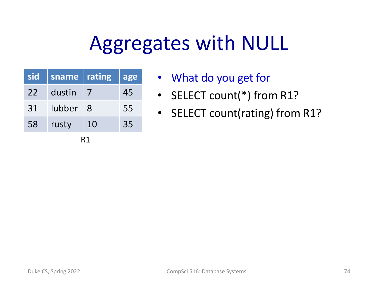| sid | sname  | rating | age |  |
|-----|--------|--------|-----|--|
| 22  | dustin |        | 45  |  |
| 31  | lubber | 8      | 55  |  |
| 58  | rusty  | 10     | 35  |  |
|     |        |        |     |  |

- What do you get for
- SELECT count(\*) from R1?
- SELECT count(rating) from R1?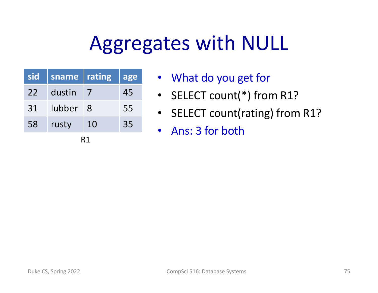| sid | sname  | rating | age |  |
|-----|--------|--------|-----|--|
| 22  | dustin |        | 45  |  |
| 31  | lubber | 8      | 55  |  |
| 58  | rusty  | 10     | 35  |  |
| R1  |        |        |     |  |

- What do you get for
- SELECT count(\*) from R1?
- SELECT count(rating) from R1?
- Ans: 3 for both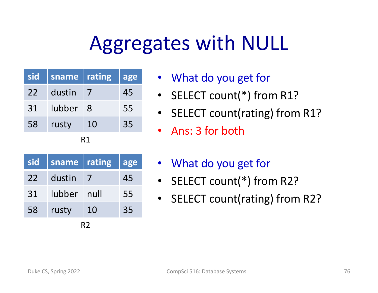| sid | sname  | rating | age |  |
|-----|--------|--------|-----|--|
| 22  | dustin |        | 45  |  |
| 31  | lubber | 8      | 55  |  |
| 58  | rusty  | 10     | 35  |  |
| R1  |        |        |     |  |

| sid | sname  | rating | age |  |
|-----|--------|--------|-----|--|
| 22  | dustin |        | 45  |  |
| 31  | lubber | null   | 55  |  |
| 58  | rusty  | 10     | 35  |  |
| R2  |        |        |     |  |

- What do you get for
- SELECT count(\*) from R1?
- SELECT count(rating) from R1?
- Ans: 3 for both
- What do you get for
- SELECT count(\*) from R2?
- SELECT count(rating) from R2?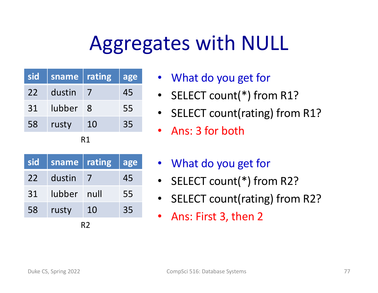| sid | sname  | rating | age |  |
|-----|--------|--------|-----|--|
| 22  | dustin |        | 45  |  |
| 31  | lubber | 8      | 55  |  |
| 58  | rusty  | 10     | 35  |  |
| R1  |        |        |     |  |

| sid | sname         | rating | lage |  |
|-----|---------------|--------|------|--|
| 22  | dustin        |        | 45   |  |
| 31  | <b>lubber</b> | null   | 55   |  |
| 58  | rusty         | 10     | 35   |  |
| R2  |               |        |      |  |

- What do you get for
- SELECT count(\*) from R1?
- SELECT count(rating) from R1?
- Ans: 3 for both
- What do you get for
- SELECT count(\*) from R2?
- SELECT count(rating) from R2?
- Ans: First 3, then 2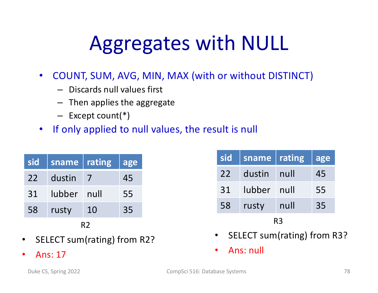- COUNT, SUM, AVG, MIN, MAX (with or without DISTINCT)
	- Discards null values first
	- Then applies the aggregate
	- Except count(\*)
- If only applied to null values, the result is null

| sid | sname  | $\sqrt{\mathsf{rating}}$ | age |  |
|-----|--------|--------------------------|-----|--|
| 22  | dustin |                          | 45  |  |
| 31  | lubber | null                     | 55  |  |
| 58  | rusty  | 10                       | 35  |  |
|     |        |                          |     |  |

#### R2

- SELECT sum(rating) from R2?
- Ans: 17

| sid | sname       | rating | age |  |
|-----|-------------|--------|-----|--|
| 22  | dustin null |        | 45  |  |
| 31  | lubber null |        | 55  |  |
| 58  | rusty       | null   | 35  |  |
| R3  |             |        |     |  |

- SELECT sum(rating) from R3?
- Ans: null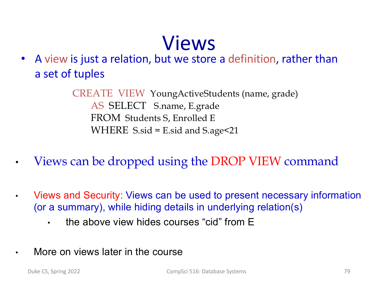#### Views

• A view is just a relation, but we store a definition, rather than a set of tuples

> CREATE VIEW YoungActiveStudents (name, grade) AS SELECT S.name, E.grade FROM Students S, Enrolled E WHERE S.sid = E.sid and S.age<21

- Views can be dropped using the DROP VIEW command
- Views and Security: Views can be used to present necessary information (or a summary), while hiding details in underlying relation(s)
	- the above view hides courses "cid" from E
- More on views later in the course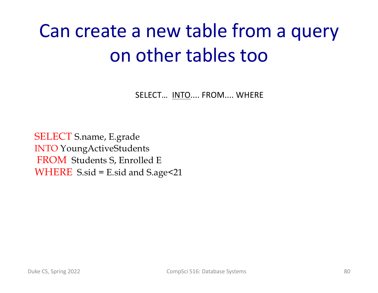## Can create a new table from a query on other tables too

SELECT… INTO.... FROM.... WHERE

SELECT S.name, E.grade INTO YoungActiveStudents FROM Students S, Enrolled E WHERE S.sid = E.sid and S.age<21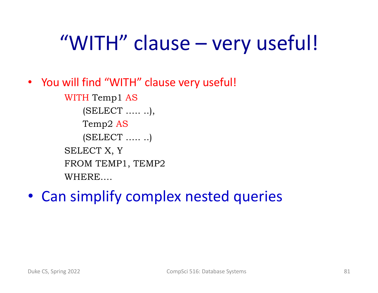## "WITH" clause – very useful!

• You will find "WITH" clause very useful!

WITH Temp1 AS (SELECT ….. ..), Temp2 AS (SELECT ….. ..) SELECT X, Y FROM TEMP1, TEMP2 WHERE….

• Can simplify complex nested queries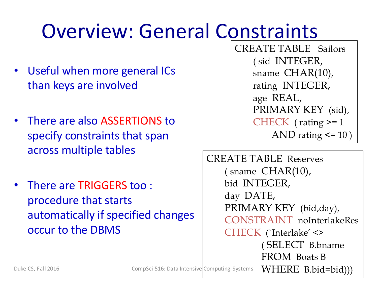## Overview: General Constraints

- Useful when more general ICs than keys are involved
- There are also ASSERTIONS to specify constraints that span across multiple tables
- There are TRIGGERS too : procedure that starts automatically if specified changes occur to the DBMS

CREATE TABLE Sailors ( sid INTEGER, sname CHAR(10), rating INTEGER, age REAL, PRIMARY KEY (sid), CHECK ( rating >= 1 AND rating <= 10 )

CREATE TABLE Reserves  $($  sname  $CHAR(10)$ , bid INTEGER, day DATE, PRIMARY KEY (bid,day), CONSTRAINT noInterlakeRes CHECK (`Interlake' <> ( SELECT B.bname FROM Boats B Duke CS, Fall 2016 **CompSci** 516: Data Intensive Computing Systems  $WHERE$   $B.bid=bid))$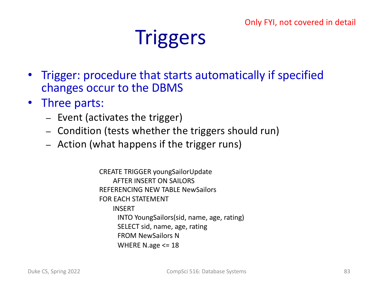#### Only FYI, not covered in detail

#### **Triggers**

- Trigger: procedure that starts automatically if specified changes occur to the DBMS
- Three parts:
	- Event (activates the trigger)
	- Condition (tests whether the triggers should run)
	- Action (what happens if the trigger runs)

CREATE TRIGGER youngSailorUpdate AFTER INSERT ON SAILORS REFERENCING NEW TABLE NewSailors FOR EACH STATEMENT INSERT INTO YoungSailors(sid, name, age, rating) SELECT sid, name, age, rating FROM NewSailors N WHERE N.age  $\leq$  18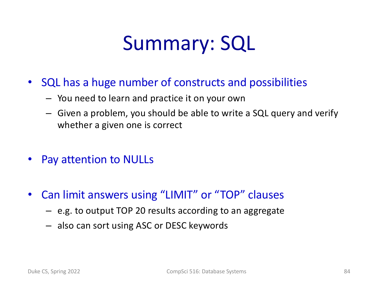#### Summary: SQL

- SQL has a huge number of constructs and possibilities
	- You need to learn and practice it on your own
	- Given a problem, you should be able to write a SQL query and verify whether a given one is correct
- Pay attention to NULLs
- Can limit answers using "LIMIT" or "TOP" clauses
	- e.g. to output TOP 20 results according to an aggregate
	- also can sort using ASC or DESC keywords